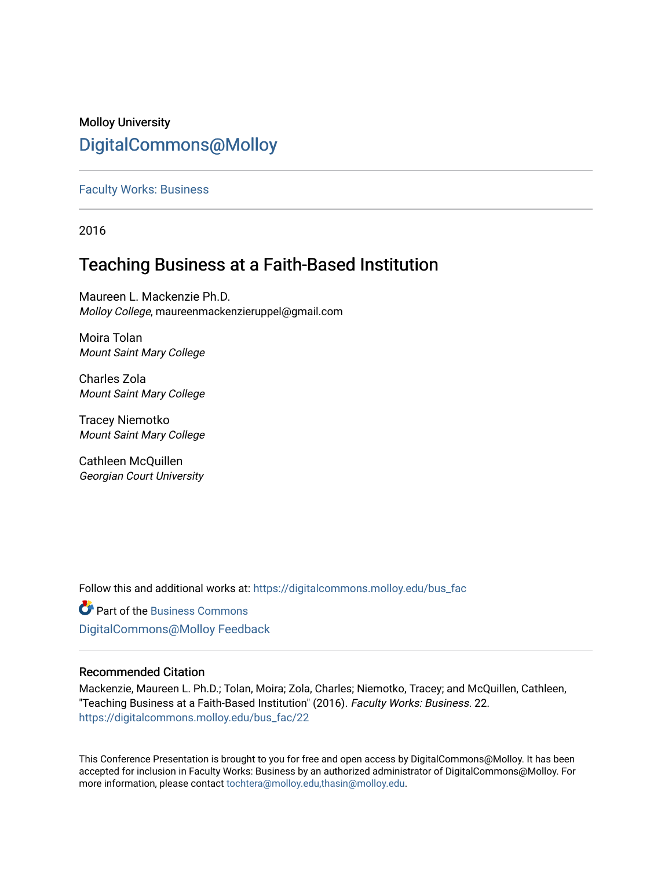# Molloy University [DigitalCommons@Molloy](https://digitalcommons.molloy.edu/)

# [Faculty Works: Business](https://digitalcommons.molloy.edu/bus_fac)

2016

# Teaching Business at a Faith-Based Institution

Maureen L. Mackenzie Ph.D. Molloy College, maureenmackenzieruppel@gmail.com

Moira Tolan Mount Saint Mary College

Charles Zola Mount Saint Mary College

Tracey Niemotko Mount Saint Mary College

Cathleen McQuillen Georgian Court University

Follow this and additional works at: [https://digitalcommons.molloy.edu/bus\\_fac](https://digitalcommons.molloy.edu/bus_fac?utm_source=digitalcommons.molloy.edu%2Fbus_fac%2F22&utm_medium=PDF&utm_campaign=PDFCoverPages)

**C** Part of the [Business Commons](https://network.bepress.com/hgg/discipline/622?utm_source=digitalcommons.molloy.edu%2Fbus_fac%2F22&utm_medium=PDF&utm_campaign=PDFCoverPages) [DigitalCommons@Molloy Feedback](https://molloy.libwizard.com/f/dcfeedback)

# Recommended Citation

Mackenzie, Maureen L. Ph.D.; Tolan, Moira; Zola, Charles; Niemotko, Tracey; and McQuillen, Cathleen, "Teaching Business at a Faith-Based Institution" (2016). Faculty Works: Business. 22. [https://digitalcommons.molloy.edu/bus\\_fac/22](https://digitalcommons.molloy.edu/bus_fac/22?utm_source=digitalcommons.molloy.edu%2Fbus_fac%2F22&utm_medium=PDF&utm_campaign=PDFCoverPages) 

This Conference Presentation is brought to you for free and open access by DigitalCommons@Molloy. It has been accepted for inclusion in Faculty Works: Business by an authorized administrator of DigitalCommons@Molloy. For more information, please contact [tochtera@molloy.edu,thasin@molloy.edu.](mailto:tochtera@molloy.edu,thasin@molloy.edu)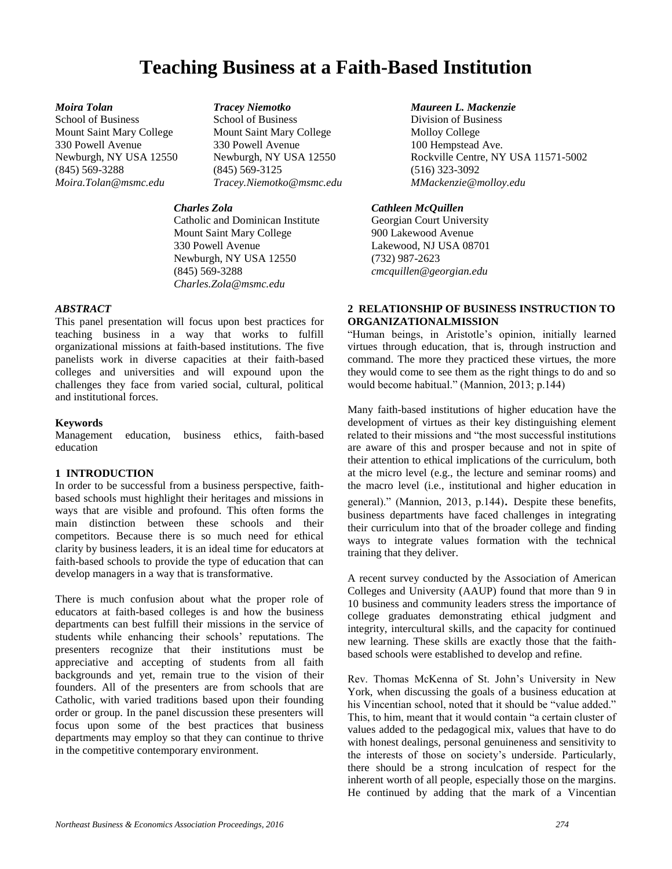# **Teaching Business at a Faith-Based Institution**

*Moira Tolan Tracey Niemotko Maureen L. Mackenzie*

School of Business School of Business Division of Business Mount Saint Mary College Mount Saint Mary College Molloy College 330 Powell Avenue 330 Powell Avenue 100 Hempstead Ave. (845) 569-3288 (845) 569-3125 (516) 323-3092 *Moira.Tolan@msmc.edu Tracey.Niemotko@msmc.edu MMackenzie@molloy.edu*

Catholic and Dominican Institute Georgian Court University Mount Saint Mary College 900 Lakewood Avenue 330 Powell Avenue Lakewood, NJ USA 08701 Newburgh, NY USA 12550 (732) 987-2623<br>
(845) 569-3288 (845) cmcauillen@gee *Charles.Zola@msmc.edu*

### *ABSTRACT*

This panel presentation will focus upon best practices for teaching business in a way that works to fulfill organizational missions at faith-based institutions. The five panelists work in diverse capacities at their faith-based colleges and universities and will expound upon the challenges they face from varied social, cultural, political and institutional forces.

## **Keywords**

Management education, business ethics, faith-based education

# **1 INTRODUCTION**

In order to be successful from a business perspective, faithbased schools must highlight their heritages and missions in ways that are visible and profound. This often forms the main distinction between these schools and their competitors. Because there is so much need for ethical clarity by business leaders, it is an ideal time for educators at faith-based schools to provide the type of education that can develop managers in a way that is transformative.

There is much confusion about what the proper role of educators at faith-based colleges is and how the business departments can best fulfill their missions in the service of students while enhancing their schools' reputations. The presenters recognize that their institutions must be appreciative and accepting of students from all faith backgrounds and yet, remain true to the vision of their founders. All of the presenters are from schools that are Catholic, with varied traditions based upon their founding order or group. In the panel discussion these presenters will focus upon some of the best practices that business departments may employ so that they can continue to thrive in the competitive contemporary environment.

Newburgh, NY USA 12550 Newburgh, NY USA 12550 Rockville Centre, NY USA 11571-5002<br>
(845) 569-3288 (845) 569-3125 (516) 323-3092

## *Charles Zola Cathleen McQuillen*

(845) 569-3288 *cmcquillen@georgian.edu*

## **2 RELATIONSHIP OF BUSINESS INSTRUCTION TO ORGANIZATIONALMISSION**

"Human beings, in Aristotle's opinion, initially learned virtues through education, that is, through instruction and command. The more they practiced these virtues, the more they would come to see them as the right things to do and so would become habitual." (Mannion, 2013; p.144)

Many faith-based institutions of higher education have the development of virtues as their key distinguishing element related to their missions and "the most successful institutions are aware of this and prosper because and not in spite of their attention to ethical implications of the curriculum, both at the micro level (e.g., the lecture and seminar rooms) and the macro level (i.e., institutional and higher education in general)." (Mannion, 2013, p.144). Despite these benefits, business departments have faced challenges in integrating their curriculum into that of the broader college and finding ways to integrate values formation with the technical training that they deliver.

A recent survey conducted by the Association of American Colleges and University (AAUP) found that more than 9 in 10 business and community leaders stress the importance of college graduates demonstrating ethical judgment and integrity, intercultural skills, and the capacity for continued new learning. These skills are exactly those that the faithbased schools were established to develop and refine.

Rev. Thomas McKenna of St. John's University in New York, when discussing the goals of a business education at his Vincentian school, noted that it should be "value added." This, to him, meant that it would contain "a certain cluster of values added to the pedagogical mix, values that have to do with honest dealings, personal genuineness and sensitivity to the interests of those on society's underside. Particularly, there should be a strong inculcation of respect for the inherent worth of all people, especially those on the margins. He continued by adding that the mark of a Vincentian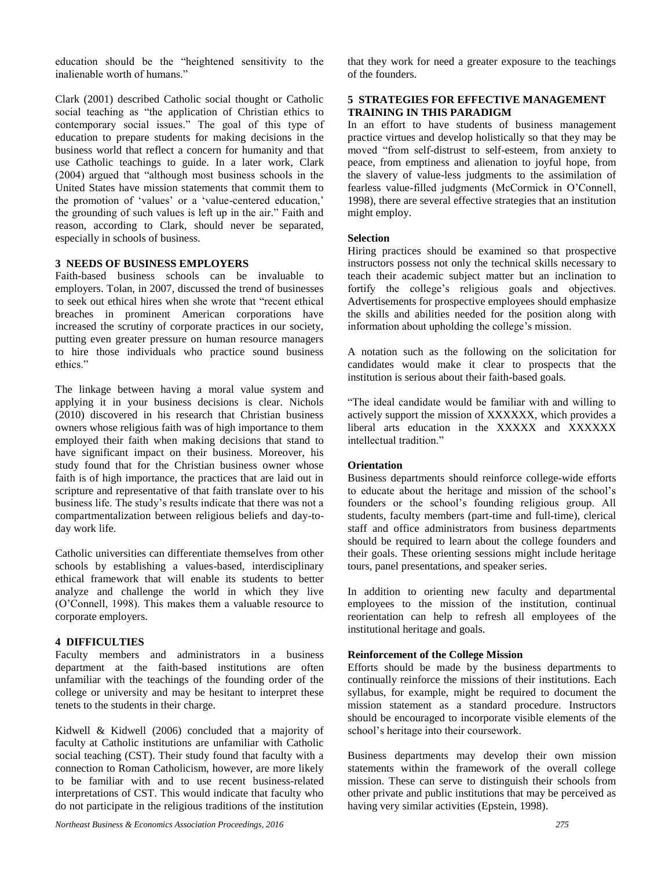education should be the "heightened sensitivity to the inalienable worth of humans."

Clark (2001) described Catholic social thought or Catholic social teaching as "the application of Christian ethics to contemporary social issues." The goal of this type of education to prepare students for making decisions in the business world that reflect a concern for humanity and that use Catholic teachings to guide. In a later work, Clark (2004) argued that "although most business schools in the United States have mission statements that commit them to the promotion of 'values' or a 'value-centered education,' the grounding of such values is left up in the air." Faith and reason, according to Clark, should never be separated, especially in schools of business.

#### **3 NEEDS OF BUSINESS EMPLOYERS**

Faith-based business schools can be invaluable to employers. Tolan, in 2007, discussed the trend of businesses to seek out ethical hires when she wrote that "recent ethical breaches in prominent American corporations have increased the scrutiny of corporate practices in our society, putting even greater pressure on human resource managers to hire those individuals who practice sound business ethics."

The linkage between having a moral value system and applying it in your business decisions is clear. Nichols (2010) discovered in his research that Christian business owners whose religious faith was of high importance to them employed their faith when making decisions that stand to have significant impact on their business. Moreover, his study found that for the Christian business owner whose faith is of high importance, the practices that are laid out in scripture and representative of that faith translate over to his business life. The study's results indicate that there was not a compartmentalization between religious beliefs and day-today work life.

Catholic universities can differentiate themselves from other schools by establishing a values-based, interdisciplinary ethical framework that will enable its students to better analyze and challenge the world in which they live (O'Connell, 1998). This makes them a valuable resource to corporate employers.

#### **4 DIFFICULTIES**

Faculty members and administrators in a business department at the faith-based institutions are often unfamiliar with the teachings of the founding order of the college or university and may be hesitant to interpret these tenets to the students in their charge.

Kidwell & Kidwell (2006) concluded that a majority of faculty at Catholic institutions are unfamiliar with Catholic social teaching (CST). Their study found that faculty with a connection to Roman Catholicism, however, are more likely to be familiar with and to use recent business-related interpretations of CST. This would indicate that faculty who do not participate in the religious traditions of the institution

*Northeast Business & Economics Association Proceedings, 2016 275*

that they work for need a greater exposure to the teachings of the founders.

### **5 STRATEGIES FOR EFFECTIVE MANAGEMENT TRAINING IN THIS PARADIGM**

In an effort to have students of business management practice virtues and develop holistically so that they may be moved "from self-distrust to self-esteem, from anxiety to peace, from emptiness and alienation to joyful hope, from the slavery of value-less judgments to the assimilation of fearless value-filled judgments (McCormick in O'Connell, 1998), there are several effective strategies that an institution might employ.

#### **Selection**

Hiring practices should be examined so that prospective instructors possess not only the technical skills necessary to teach their academic subject matter but an inclination to fortify the college's religious goals and objectives. Advertisements for prospective employees should emphasize the skills and abilities needed for the position along with information about upholding the college's mission.

A notation such as the following on the solicitation for candidates would make it clear to prospects that the institution is serious about their faith-based goals.

"The ideal candidate would be familiar with and willing to actively support the mission of XXXXXX, which provides a liberal arts education in the XXXXXX and XXXXXX intellectual tradition."

#### **Orientation**

Business departments should reinforce college-wide efforts to educate about the heritage and mission of the school's founders or the school's founding religious group. All students, faculty members (part-time and full-time), clerical staff and office administrators from business departments should be required to learn about the college founders and their goals. These orienting sessions might include heritage tours, panel presentations, and speaker series.

In addition to orienting new faculty and departmental employees to the mission of the institution, continual reorientation can help to refresh all employees of the institutional heritage and goals.

#### **Reinforcement of the College Mission**

Efforts should be made by the business departments to continually reinforce the missions of their institutions. Each syllabus, for example, might be required to document the mission statement as a standard procedure. Instructors should be encouraged to incorporate visible elements of the school's heritage into their coursework.

Business departments may develop their own mission statements within the framework of the overall college mission. These can serve to distinguish their schools from other private and public institutions that may be perceived as having very similar activities (Epstein, 1998).